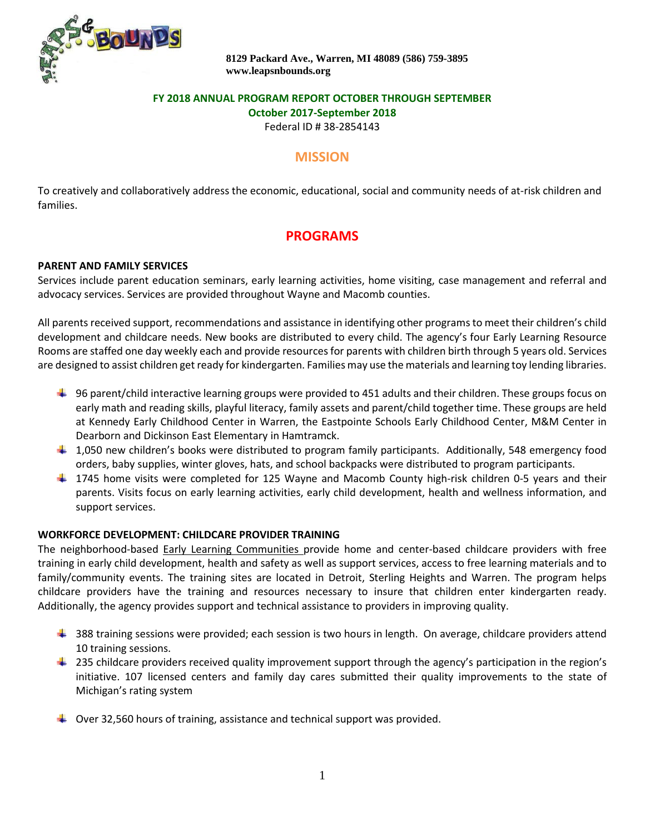

## **FY 2018 ANNUAL PROGRAM REPORT OCTOBER THROUGH SEPTEMBER**

**October 2017-September 2018**

Federal ID # 38-2854143

## **MISSION**

To creatively and collaboratively address the economic, educational, social and community needs of at-risk children and families.

# **PROGRAMS**

#### **PARENT AND FAMILY SERVICES**

Services include parent education seminars, early learning activities, home visiting, case management and referral and advocacy services. Services are provided throughout Wayne and Macomb counties.

All parents received support, recommendations and assistance in identifying other programs to meet their children's child development and childcare needs. New books are distributed to every child. The agency's four Early Learning Resource Rooms are staffed one day weekly each and provide resources for parents with children birth through 5 years old. Services are designed to assist children get ready for kindergarten. Families may use the materials and learning toy lending libraries.

- $\ddot{\phantom{1}}$  96 parent/child interactive learning groups were provided to 451 adults and their children. These groups focus on early math and reading skills, playful literacy, family assets and parent/child together time. These groups are held at Kennedy Early Childhood Center in Warren, the Eastpointe Schools Early Childhood Center, M&M Center in Dearborn and Dickinson East Elementary in Hamtramck.
- $\downarrow$  1,050 new children's books were distributed to program family participants. Additionally, 548 emergency food orders, baby supplies, winter gloves, hats, and school backpacks were distributed to program participants.
- $\pm$  1745 home visits were completed for 125 Wayne and Macomb County high-risk children 0-5 years and their parents. Visits focus on early learning activities, early child development, health and wellness information, and support services.

#### **WORKFORCE DEVELOPMENT: CHILDCARE PROVIDER TRAINING**

The neighborhood-based Early Learning Communities provide home and center-based childcare providers with free training in early child development, health and safety as well as support services, access to free learning materials and to family/community events. The training sites are located in Detroit, Sterling Heights and Warren. The program helps childcare providers have the training and resources necessary to insure that children enter kindergarten ready. Additionally, the agency provides support and technical assistance to providers in improving quality.

- $\ddot{\phantom{1}}$  388 training sessions were provided; each session is two hours in length. On average, childcare providers attend 10 training sessions.
- $\perp$  235 childcare providers received quality improvement support through the agency's participation in the region's initiative. 107 licensed centers and family day cares submitted their quality improvements to the state of Michigan's rating system
- $\downarrow$  Over 32,560 hours of training, assistance and technical support was provided.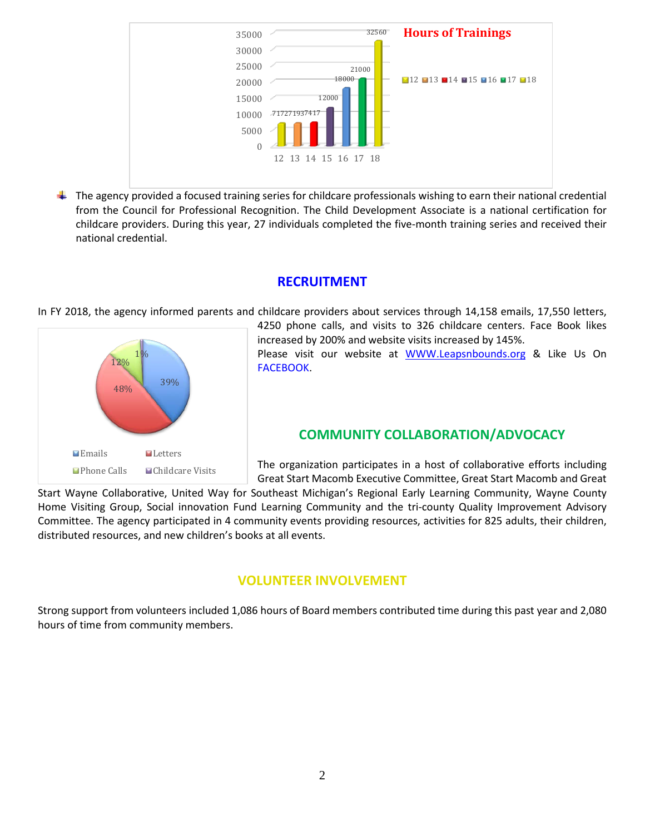

 $\ddot{\phantom{1}}$  The agency provided a focused training series for childcare professionals wishing to earn their national credential from the Council for Professional Recognition. The Child Development Associate is a national certification for childcare providers. During this year, 27 individuals completed the five-month training series and received their national credential.

## **RECRUITMENT**

In FY 2018, the agency informed parents and childcare providers about services through 14,158 emails, 17,550 letters,



4250 phone calls, and visits to 326 childcare centers. Face Book likes increased by 200% and website visits increased by 145%. Please visit our website at [WWW.Leapsnbounds.org](http://www.leapsnbounds.org/) & Like Us On FACEBOOK.

## **COMMUNITY COLLABORATION/ADVOCACY**

The organization participates in a host of collaborative efforts including Great Start Macomb Executive Committee, Great Start Macomb and Great

Start Wayne Collaborative, United Way for Southeast Michigan's Regional Early Learning Community, Wayne County Home Visiting Group, Social innovation Fund Learning Community and the tri-county Quality Improvement Advisory Committee. The agency participated in 4 community events providing resources, activities for 825 adults, their children, distributed resources, and new children's books at all events.

# **VOLUNTEER INVOLVEMENT**

Strong support from volunteers included 1,086 hours of Board members contributed time during this past year and 2,080 hours of time from community members.